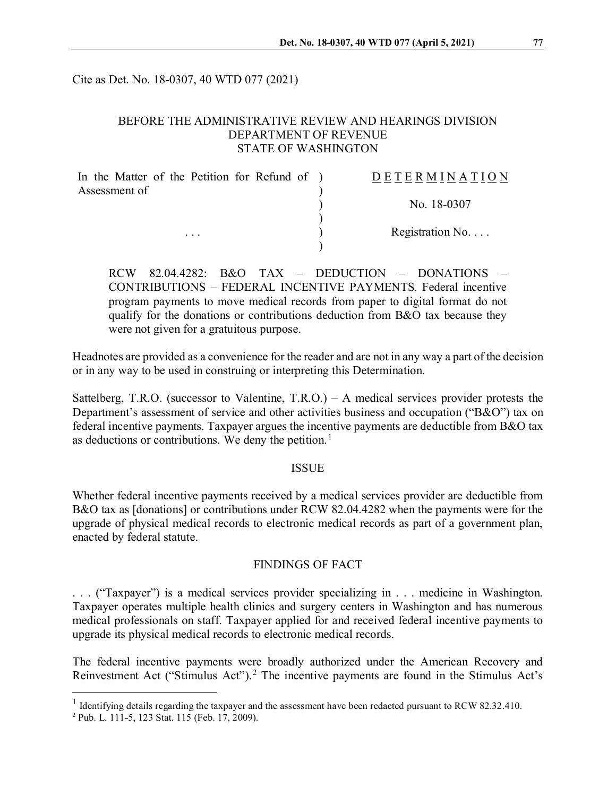Cite as Det. No. 18-0307, 40 WTD 077 (2021)

## BEFORE THE ADMINISTRATIVE REVIEW AND HEARINGS DIVISION DEPARTMENT OF REVENUE STATE OF WASHINGTON

| In the Matter of the Petition for Refund of ) | DETERMINATION            |
|-----------------------------------------------|--------------------------|
| Assessment of                                 | No. 18-0307              |
|                                               |                          |
| $\cdots$                                      | Registration No. $\dots$ |
|                                               |                          |

RCW 82.04.4282: B&O TAX – DEDUCTION – DONATIONS – CONTRIBUTIONS – FEDERAL INCENTIVE PAYMENTS. Federal incentive program payments to move medical records from paper to digital format do not qualify for the donations or contributions deduction from B&O tax because they were not given for a gratuitous purpose.

Headnotes are provided as a convenience for the reader and are not in any way a part of the decision or in any way to be used in construing or interpreting this Determination.

Sattelberg, T.R.O. (successor to Valentine, T.R.O.) – A medical services provider protests the Department's assessment of service and other activities business and occupation ("B&O") tax on federal incentive payments. Taxpayer argues the incentive payments are deductible from B&O tax as deductions or contributions. We deny the petition.<sup>[1](#page-0-0)</sup>

#### ISSUE

Whether federal incentive payments received by a medical services provider are deductible from B&O tax as [donations] or contributions under RCW 82.04.4282 when the payments were for the upgrade of physical medical records to electronic medical records as part of a government plan, enacted by federal statute.

## FINDINGS OF FACT

. . . ("Taxpayer") is a medical services provider specializing in . . . medicine in Washington. Taxpayer operates multiple health clinics and surgery centers in Washington and has numerous medical professionals on staff. Taxpayer applied for and received federal incentive payments to upgrade its physical medical records to electronic medical records.

The federal incentive payments were broadly authorized under the American Recovery and Reinvestment Act ("Stimulus Act").<sup>[2](#page-0-1)</sup> The incentive payments are found in the Stimulus Act's

<span id="page-0-0"></span><sup>&</sup>lt;sup>1</sup> Identifying details regarding the taxpayer and the assessment have been redacted pursuant to RCW 82.32.410.

<span id="page-0-1"></span><sup>2</sup> Pub. L. 111-5, 123 Stat. 115 (Feb. 17, 2009).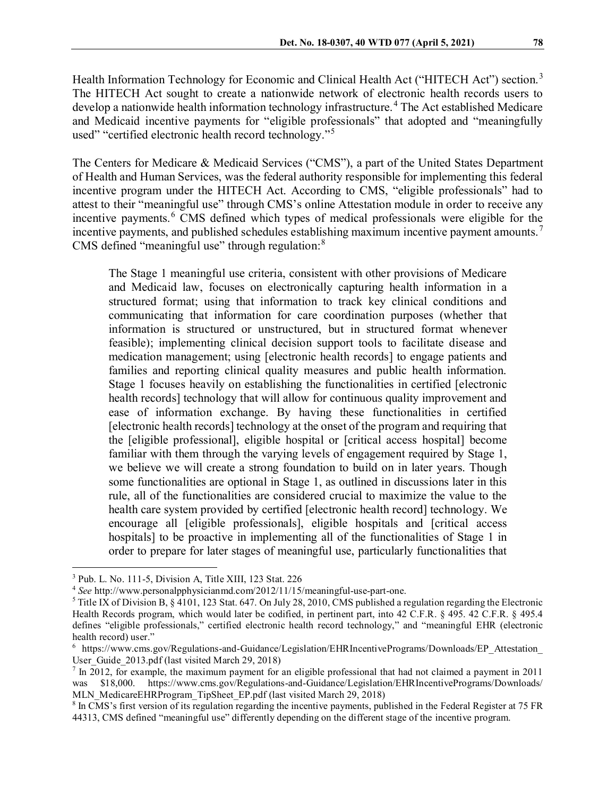Health Information Technology for Economic and Clinical Health Act ("HITECH Act") section.<sup>[3](#page-1-0)</sup> The HITECH Act sought to create a nationwide network of electronic health records users to develop a nationwide health information technology infrastructure. [4](#page-1-1) The Act established Medicare and Medicaid incentive payments for "eligible professionals" that adopted and "meaningfully used" "certified electronic health record technology."<sup>[5](#page-1-2)</sup>

The Centers for Medicare & Medicaid Services ("CMS"), a part of the United States Department of Health and Human Services, was the federal authority responsible for implementing this federal incentive program under the HITECH Act. According to CMS, "eligible professionals" had to attest to their "meaningful use" through CMS's online Attestation module in order to receive any incentive payments. [6](#page-1-3) CMS defined which types of medical professionals were eligible for the incentive payments, and published schedules establishing maximum incentive payment amounts.<sup>[7](#page-1-4)</sup> CMS defined "meaningful use" through regulation: $8$ 

The Stage 1 meaningful use criteria, consistent with other provisions of Medicare and Medicaid law, focuses on electronically capturing health information in a structured format; using that information to track key clinical conditions and communicating that information for care coordination purposes (whether that information is structured or unstructured, but in structured format whenever feasible); implementing clinical decision support tools to facilitate disease and medication management; using [electronic health records] to engage patients and families and reporting clinical quality measures and public health information. Stage 1 focuses heavily on establishing the functionalities in certified [electronic health records] technology that will allow for continuous quality improvement and ease of information exchange. By having these functionalities in certified [electronic health records] technology at the onset of the program and requiring that the [eligible professional], eligible hospital or [critical access hospital] become familiar with them through the varying levels of engagement required by Stage 1, we believe we will create a strong foundation to build on in later years. Though some functionalities are optional in Stage 1, as outlined in discussions later in this rule, all of the functionalities are considered crucial to maximize the value to the health care system provided by certified [electronic health record] technology. We encourage all [eligible professionals], eligible hospitals and [critical access hospitals] to be proactive in implementing all of the functionalities of Stage 1 in order to prepare for later stages of meaningful use, particularly functionalities that

<span id="page-1-0"></span> <sup>3</sup> Pub. L. No. 111-5, Division A, Title XIII, 123 Stat. 226

<span id="page-1-1"></span><sup>4</sup> *See* http://www.personalpphysicianmd.com/2012/11/15/meaningful-use-part-one.

<span id="page-1-2"></span> $5$  Title IX of Division B, § 4101, 123 Stat. 647. On July 28, 2010, CMS published a regulation regarding the Electronic Health Records program, which would later be codified, in pertinent part, into 42 C.F.R. § 495. 42 C.F.R. § 495.4 defines "eligible professionals," certified electronic health record technology," and "meaningful EHR (electronic health record) user."

<span id="page-1-3"></span><sup>&</sup>lt;sup>6</sup> https://www.cms.gov/Regulations-and-Guidance/Legislation/EHRIncentivePrograms/Downloads/EP\_Attestation User Guide 2013.pdf (last visited March 29, 2018)

<span id="page-1-4"></span><sup>7</sup> In 2012, for example, the maximum payment for an eligible professional that had not claimed a payment in 2011 was \$18,000. https://www.cms.gov/Regulations-and-Guidance/Legislation/EHRIncentivePrograms/Downloads/ MLN\_MedicareEHRProgram\_TipSheet\_EP.pdf (last visited March 29, 2018)

<span id="page-1-5"></span><sup>8</sup> In CMS's first version of its regulation regarding the incentive payments, published in the Federal Register at 75 FR 44313, CMS defined "meaningful use" differently depending on the different stage of the incentive program.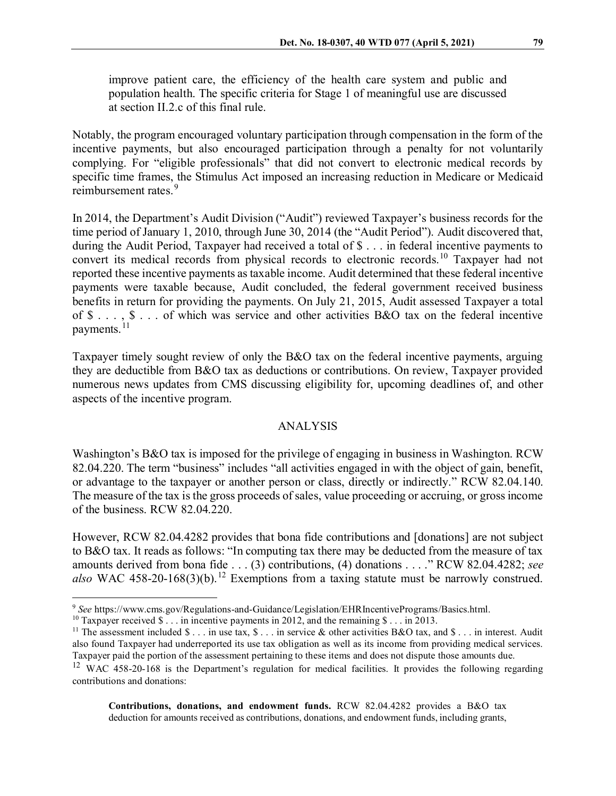improve patient care, the efficiency of the health care system and public and population health. The specific criteria for Stage 1 of meaningful use are discussed at section II.2.c of this final rule.

Notably, the program encouraged voluntary participation through compensation in the form of the incentive payments, but also encouraged participation through a penalty for not voluntarily complying. For "eligible professionals" that did not convert to electronic medical records by specific time frames, the Stimulus Act imposed an increasing reduction in Medicare or Medicaid reimbursement rates. [9](#page-2-0)

In 2014, the Department's Audit Division ("Audit") reviewed Taxpayer's business records for the time period of January 1, 2010, through June 30, 2014 (the "Audit Period"). Audit discovered that, during the Audit Period, Taxpayer had received a total of \$ . . . in federal incentive payments to convert its medical records from physical records to electronic records. [10](#page-2-1) Taxpayer had not reported these incentive payments as taxable income. Audit determined that these federal incentive payments were taxable because, Audit concluded, the federal government received business benefits in return for providing the payments. On July 21, 2015, Audit assessed Taxpayer a total of \$ . . . , \$ . . . of which was service and other activities B&O tax on the federal incentive payments.<sup>[11](#page-2-2)</sup>

Taxpayer timely sought review of only the B&O tax on the federal incentive payments, arguing they are deductible from B&O tax as deductions or contributions. On review, Taxpayer provided numerous news updates from CMS discussing eligibility for, upcoming deadlines of, and other aspects of the incentive program.

#### ANALYSIS

Washington's B&O tax is imposed for the privilege of engaging in business in Washington. RCW 82.04.220. The term "business" includes "all activities engaged in with the object of gain, benefit, or advantage to the taxpayer or another person or class, directly or indirectly." RCW 82.04.140. The measure of the tax is the gross proceeds of sales, value proceeding or accruing, or gross income of the business. RCW 82.04.220.

However, RCW 82.04.4282 provides that bona fide contributions and [donations] are not subject to B&O tax. It reads as follows: "In computing tax there may be deducted from the measure of tax amounts derived from bona fide . . . (3) contributions, (4) donations . . . ." RCW 82.04.4282; *see also* WAC 458-20-168(3)(b). [12](#page-2-3) Exemptions from a taxing statute must be narrowly construed.

**Contributions, donations, and endowment funds.** RCW 82.04.4282 provides a B&O tax deduction for amounts received as contributions, donations, and endowment funds, including grants,

<span id="page-2-0"></span> <sup>9</sup> *See* https://www.cms.gov/Regulations-and-Guidance/Legislation/EHRIncentivePrograms/Basics.html.

<span id="page-2-1"></span><sup>&</sup>lt;sup>10</sup> Taxpayer received  $\$\dots$$  in incentive payments in 2012, and the remaining  $\$\dots$$  in 2013.

<span id="page-2-2"></span><sup>&</sup>lt;sup>11</sup> The assessment included  $\frac{1}{2}$ ... in use tax,  $\frac{1}{2}$ ... in service & other activities B&O tax, and  $\frac{1}{2}$ ... in interest. Audit also found Taxpayer had underreported its use tax obligation as well as its income from providing medical services. Taxpayer paid the portion of the assessment pertaining to these items and does not dispute those amounts due.

<span id="page-2-3"></span><sup>&</sup>lt;sup>12</sup> WAC 458-20-168 is the Department's regulation for medical facilities. It provides the following regarding contributions and donations: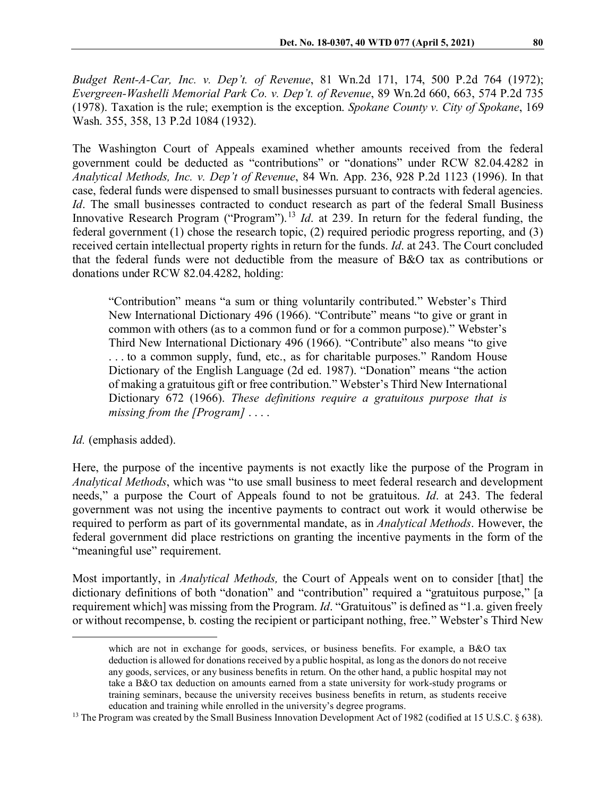*Budget Rent-A-Car, Inc. v. Dep't. of Revenue*, 81 Wn.2d 171, 174, 500 P.2d 764 (1972); *Evergreen-Washelli Memorial Park Co. v. Dep't. of Revenue*, 89 Wn.2d 660, 663, 574 P.2d 735 (1978). Taxation is the rule; exemption is the exception. *Spokane County v. City of Spokane*, 169 Wash. 355, 358, 13 P.2d 1084 (1932).

The Washington Court of Appeals examined whether amounts received from the federal government could be deducted as "contributions" or "donations" under RCW 82.04.4282 in *Analytical Methods, Inc. v. Dep't of Revenue*, 84 Wn. App. 236, 928 P.2d 1123 (1996). In that case, federal funds were dispensed to small businesses pursuant to contracts with federal agencies. *Id*. The small businesses contracted to conduct research as part of the federal Small Business Innovative Research Program ("Program").<sup>[13](#page-3-0)</sup> *Id.* at 239. In return for the federal funding, the federal government (1) chose the research topic, (2) required periodic progress reporting, and (3) received certain intellectual property rights in return for the funds. *Id*. at 243. The Court concluded that the federal funds were not deductible from the measure of B&O tax as contributions or donations under RCW 82.04.4282, holding:

"Contribution" means "a sum or thing voluntarily contributed." Webster's Third New International Dictionary 496 (1966). "Contribute" means "to give or grant in common with others (as to a common fund or for a common purpose)." Webster's Third New International Dictionary 496 (1966). "Contribute" also means "to give . . . to a common supply, fund, etc., as for charitable purposes." Random House Dictionary of the English Language (2d ed. 1987). "Donation" means "the action of making a gratuitous gift or free contribution." Webster's Third New International Dictionary 672 (1966). *These definitions require a gratuitous purpose that is missing from the [Program]* . . . .

# *Id.* (emphasis added).

Here, the purpose of the incentive payments is not exactly like the purpose of the Program in *Analytical Methods*, which was "to use small business to meet federal research and development needs," a purpose the Court of Appeals found to not be gratuitous. *Id*. at 243. The federal government was not using the incentive payments to contract out work it would otherwise be required to perform as part of its governmental mandate, as in *Analytical Methods*. However, the federal government did place restrictions on granting the incentive payments in the form of the "meaningful use" requirement.

Most importantly, in *Analytical Methods,* the Court of Appeals went on to consider [that] the dictionary definitions of both "donation" and "contribution" required a "gratuitous purpose," [a requirement which] was missing from the Program. *Id*. "Gratuitous" is defined as "1.a. given freely or without recompense, b. costing the recipient or participant nothing, free." Webster's Third New

which are not in exchange for goods, services, or business benefits. For example, a B&O tax deduction is allowed for donations received by a public hospital, as long as the donors do not receive any goods, services, or any business benefits in return. On the other hand, a public hospital may not take a B&O tax deduction on amounts earned from a state university for work-study programs or training seminars, because the university receives business benefits in return, as students receive education and training while enrolled in the university's degree programs.

<span id="page-3-0"></span><sup>&</sup>lt;sup>13</sup> The Program was created by the Small Business Innovation Development Act of 1982 (codified at 15 U.S.C. § 638).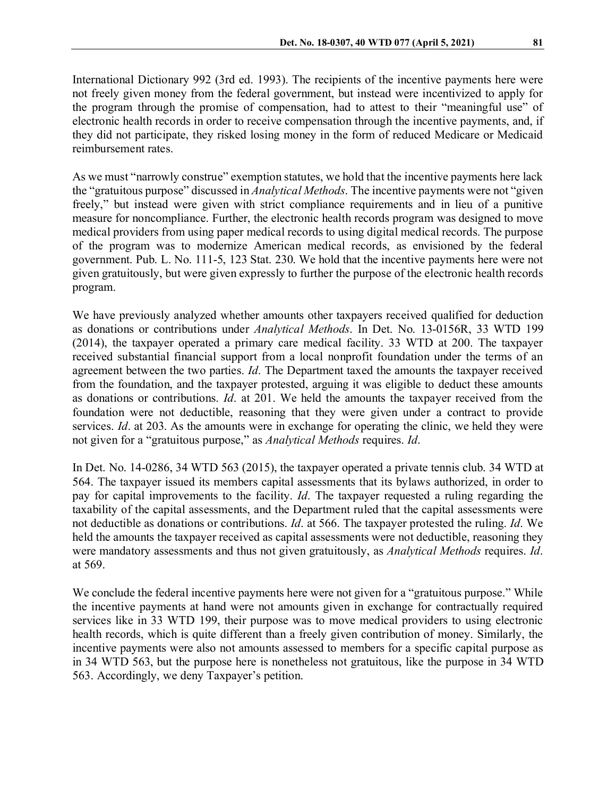International Dictionary 992 (3rd ed. 1993). The recipients of the incentive payments here were not freely given money from the federal government, but instead were incentivized to apply for the program through the promise of compensation, had to attest to their "meaningful use" of electronic health records in order to receive compensation through the incentive payments, and, if they did not participate, they risked losing money in the form of reduced Medicare or Medicaid reimbursement rates.

As we must "narrowly construe" exemption statutes, we hold that the incentive payments here lack the "gratuitous purpose" discussed in *Analytical Methods*. The incentive payments were not "given freely," but instead were given with strict compliance requirements and in lieu of a punitive measure for noncompliance. Further, the electronic health records program was designed to move medical providers from using paper medical records to using digital medical records. The purpose of the program was to modernize American medical records, as envisioned by the federal government. Pub. L. No. 111-5, 123 Stat. 230. We hold that the incentive payments here were not given gratuitously, but were given expressly to further the purpose of the electronic health records program.

We have previously analyzed whether amounts other taxpayers received qualified for deduction as donations or contributions under *Analytical Methods*. In Det. No. 13-0156R, 33 WTD 199 (2014), the taxpayer operated a primary care medical facility. 33 WTD at 200. The taxpayer received substantial financial support from a local nonprofit foundation under the terms of an agreement between the two parties. *Id*. The Department taxed the amounts the taxpayer received from the foundation, and the taxpayer protested, arguing it was eligible to deduct these amounts as donations or contributions. *Id*. at 201. We held the amounts the taxpayer received from the foundation were not deductible, reasoning that they were given under a contract to provide services. *Id*. at 203. As the amounts were in exchange for operating the clinic, we held they were not given for a "gratuitous purpose," as *Analytical Methods* requires. *Id*.

In Det. No. 14-0286, 34 WTD 563 (2015), the taxpayer operated a private tennis club. 34 WTD at 564. The taxpayer issued its members capital assessments that its bylaws authorized, in order to pay for capital improvements to the facility. *Id*. The taxpayer requested a ruling regarding the taxability of the capital assessments, and the Department ruled that the capital assessments were not deductible as donations or contributions. *Id*. at 566. The taxpayer protested the ruling. *Id*. We held the amounts the taxpayer received as capital assessments were not deductible, reasoning they were mandatory assessments and thus not given gratuitously, as *Analytical Methods* requires. *Id*. at 569.

We conclude the federal incentive payments here were not given for a "gratuitous purpose." While the incentive payments at hand were not amounts given in exchange for contractually required services like in 33 WTD 199, their purpose was to move medical providers to using electronic health records, which is quite different than a freely given contribution of money. Similarly, the incentive payments were also not amounts assessed to members for a specific capital purpose as in 34 WTD 563, but the purpose here is nonetheless not gratuitous, like the purpose in 34 WTD 563. Accordingly, we deny Taxpayer's petition.